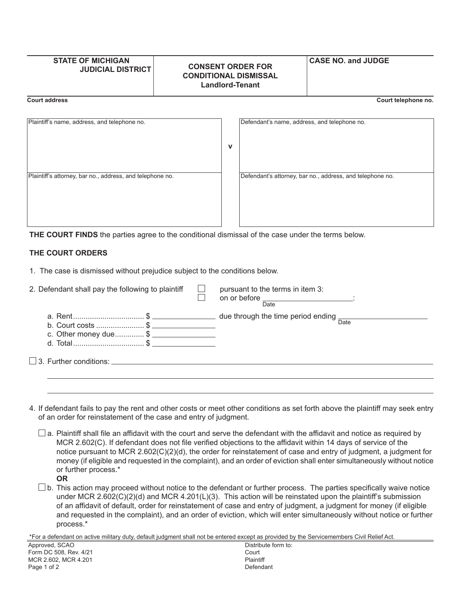## **STATE OF MICHIGAN JUDICIAL DISTRICT CONSENT ORDER FOR CONDITIONAL DISMISSAL Landlord-Tenant CASE NO. and JUDGE Court address Court telephone no.**

| Plaintiff's name, address, and telephone no.              | v | Defendant's name, address, and telephone no.              |
|-----------------------------------------------------------|---|-----------------------------------------------------------|
| Plaintiff's attorney, bar no., address, and telephone no. |   | Defendant's attorney, bar no., address, and telephone no. |

**THE COURT FINDS** the parties agree to the conditional dismissal of the case under the terms below.

## **THE COURT ORDERS**

1. The case is dismissed without prejudice subject to the conditions below.

| 2. Defendant shall pay the following to plaintiff                                                                     | pursuant to the terms in item 3:<br>on or before ________________________:<br>Date |
|-----------------------------------------------------------------------------------------------------------------------|------------------------------------------------------------------------------------|
| a. Rent\$ $\frac{1}{2}$ due through the time period ending $\frac{1}{2}$<br>b. Court costs \$<br>c. Other money due\$ |                                                                                    |
|                                                                                                                       |                                                                                    |

- 4. If defendant fails to pay the rent and other costs or meet other conditions as set forth above the plaintiff may seek entry of an order for reinstatement of the case and entry of judgment.
	- $\square$  a. Plaintiff shall file an affidavit with the court and serve the defendant with the affidavit and notice as required by MCR 2.602(C). If defendant does not file verified objections to the affidavit within 14 days of service of the notice pursuant to MCR 2.602(C)(2)(d), the order for reinstatement of case and entry of judgment, a judgment for money (if eligible and requested in the complaint), and an order of eviction shall enter simultaneously without notice or further process.\*
		- **OR**
	- $\Box$  b. This action may proceed without notice to the defendant or further process. The parties specifically waive notice under MCR 2.602(C)(2)(d) and MCR 4.201(L)(3). This action will be reinstated upon the plaintiff's submission of an affidavit of default, order for reinstatement of case and entry of judgment, a judgment for money (if eligible

 and requested in the complaint), and an order of eviction, which will enter simultaneously without notice or further process.\*

\*For a defendant on active military duty, default judgment shall not be entered except as provided by the Servicemembers Civil Relief Act.